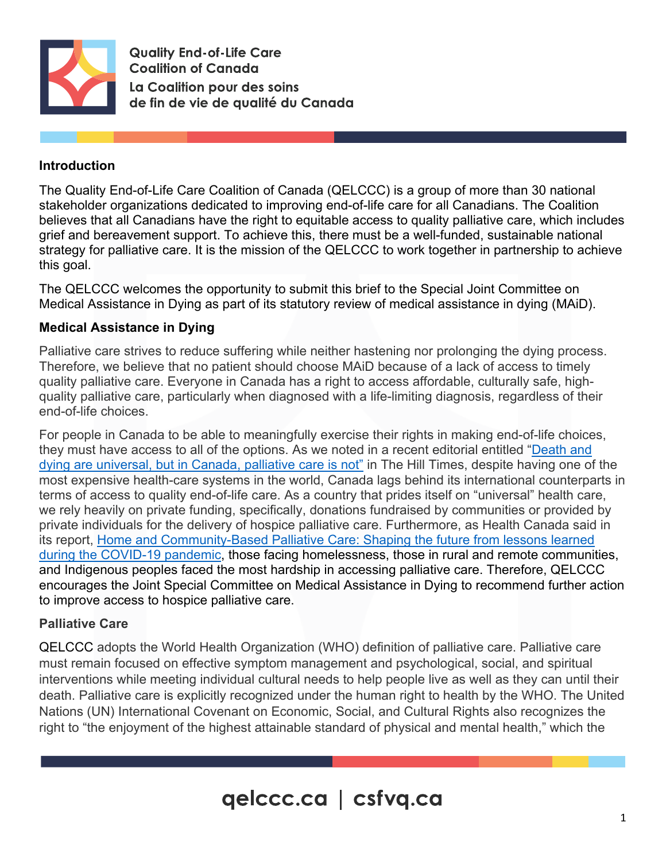

**Quality End-of-Life Care Coalition of Canada** La Coalition pour des soins de fin de vie de qualité du Canada

## **Introduction**

The Quality End-of-Life Care Coalition of Canada (QELCCC) is a group of more than 30 national stakeholder organizations dedicated to improving end-of-life care for all Canadians. The Coalition believes that all Canadians have the right to equitable access to quality palliative care, which includes grief and bereavement support. To achieve this, there must be a well-funded, sustainable national strategy for palliative care. It is the mission of the QELCCC to work together in partnership to achieve this goal.

The QELCCC welcomes the opportunity to submit this brief to the Special Joint Committee on Medical Assistance in Dying as part of its statutory review of medical assistance in dying (MAiD).

## **Medical Assistance in Dying**

Palliative care strives to reduce suffering while neither hastening nor prolonging the dying process. Therefore, we believe that no patient should choose MAiD because of a lack of access to timely quality palliative care. Everyone in Canada has a right to access affordable, culturally safe, highquality palliative care, particularly when diagnosed with a life-limiting diagnosis, regardless of their end-of-life choices.

For people in Canada to be able to meaningfully exercise their rights in making end-of-life choices, they must have access to all of the options. As we noted in a recent editorial entitled ["Death and](https://www.hilltimes.com/2022/04/13/death-and-dying-are-universal-but-in-canada-palliative-care-is-not/354282)  [dying are universal, but in Canada, palliative care is not"](https://www.hilltimes.com/2022/04/13/death-and-dying-are-universal-but-in-canada-palliative-care-is-not/354282) in The Hill Times, despite having one of the most expensive health-care systems in the world, Canada lags behind its international counterparts in terms of access to quality end-of-life care. As a country that prides itself on "universal" health care, we rely heavily on private funding, specifically, donations fundraised by communities or provided by private individuals for the delivery of hospice palliative care. Furthermore, as Health Canada said in its report, [Home and Community-Based Palliative Care: Shaping the future from lessons learned](https://cdnhomecare.ca/wp-content/uploads/2021/06/Home-and-Community-based-Palliative-Care-Shaping-the-Future-from-Lessons-Learned-during-the-COVID-19-Pandemic_JUN25.pdf)  [during the COVID-19 pandemic,](https://cdnhomecare.ca/wp-content/uploads/2021/06/Home-and-Community-based-Palliative-Care-Shaping-the-Future-from-Lessons-Learned-during-the-COVID-19-Pandemic_JUN25.pdf) those facing homelessness, those in rural and remote communities, and Indigenous peoples faced the most hardship in accessing palliative care. Therefore, QELCCC encourages the Joint Special Committee on Medical Assistance in Dying to recommend further action to improve access to hospice palliative care.

## **Palliative Care**

QELCCC adopts the World Health Organization (WHO) definition of palliative care. Palliative care must remain focused on effective symptom management and psychological, social, and spiritual interventions while meeting individual cultural needs to help people live as well as they can until their death. Palliative care is explicitly recognized under the human right to health by the WHO. The United Nations (UN) International Covenant on Economic, Social, and Cultural Rights also recognizes the right to "the enjoyment of the highest attainable standard of physical and mental health," which the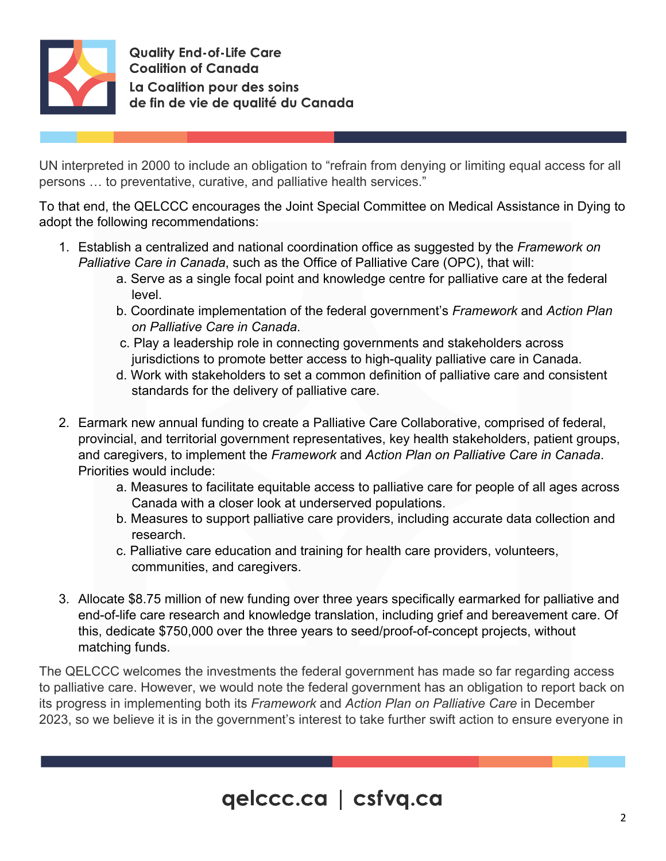

**Quality End-of-Life Care Coalition of Canada** La Coalition pour des soins de fin de vie de qualité du Canada

UN interpreted in 2000 to include an obligation to "refrain from denying or limiting equal access for all persons … to preventative, curative, and palliative health services."

To that end, the QELCCC encourages the Joint Special Committee on Medical Assistance in Dying to adopt the following recommendations:

- 1. Establish a centralized and national coordination office as suggested by the *Framework on Palliative Care in Canada*, such as the Office of Palliative Care (OPC), that will:
	- a. Serve as a single focal point and knowledge centre for palliative care at the federal level.
	- b. Coordinate implementation of the federal government's *Framework* and *Action Plan on Palliative Care in Canada*.
	- c. Play a leadership role in connecting governments and stakeholders across jurisdictions to promote better access to high-quality palliative care in Canada.
	- d. Work with stakeholders to set a common definition of palliative care and consistent standards for the delivery of palliative care.
- 2. Earmark new annual funding to create a Palliative Care Collaborative, comprised of federal, provincial, and territorial government representatives, key health stakeholders, patient groups, and caregivers, to implement the *Framework* and *Action Plan on Palliative Care in Canada*. Priorities would include:
	- a. Measures to facilitate equitable access to palliative care for people of all ages across Canada with a closer look at underserved populations.
	- b. Measures to support palliative care providers, including accurate data collection and research.
	- c. Palliative care education and training for health care providers, volunteers, communities, and caregivers.
- 3. Allocate \$8.75 million of new funding over three years specifically earmarked for palliative and end-of-life care research and knowledge translation, including grief and bereavement care. Of this, dedicate \$750,000 over the three years to seed/proof-of-concept projects, without matching funds.

The QELCCC welcomes the investments the federal government has made so far regarding access to palliative care. However, we would note the federal government has an obligation to report back on its progress in implementing both its *Framework* and *Action Plan on Palliative Care* in December 2023, so we believe it is in the government's interest to take further swift action to ensure everyone in